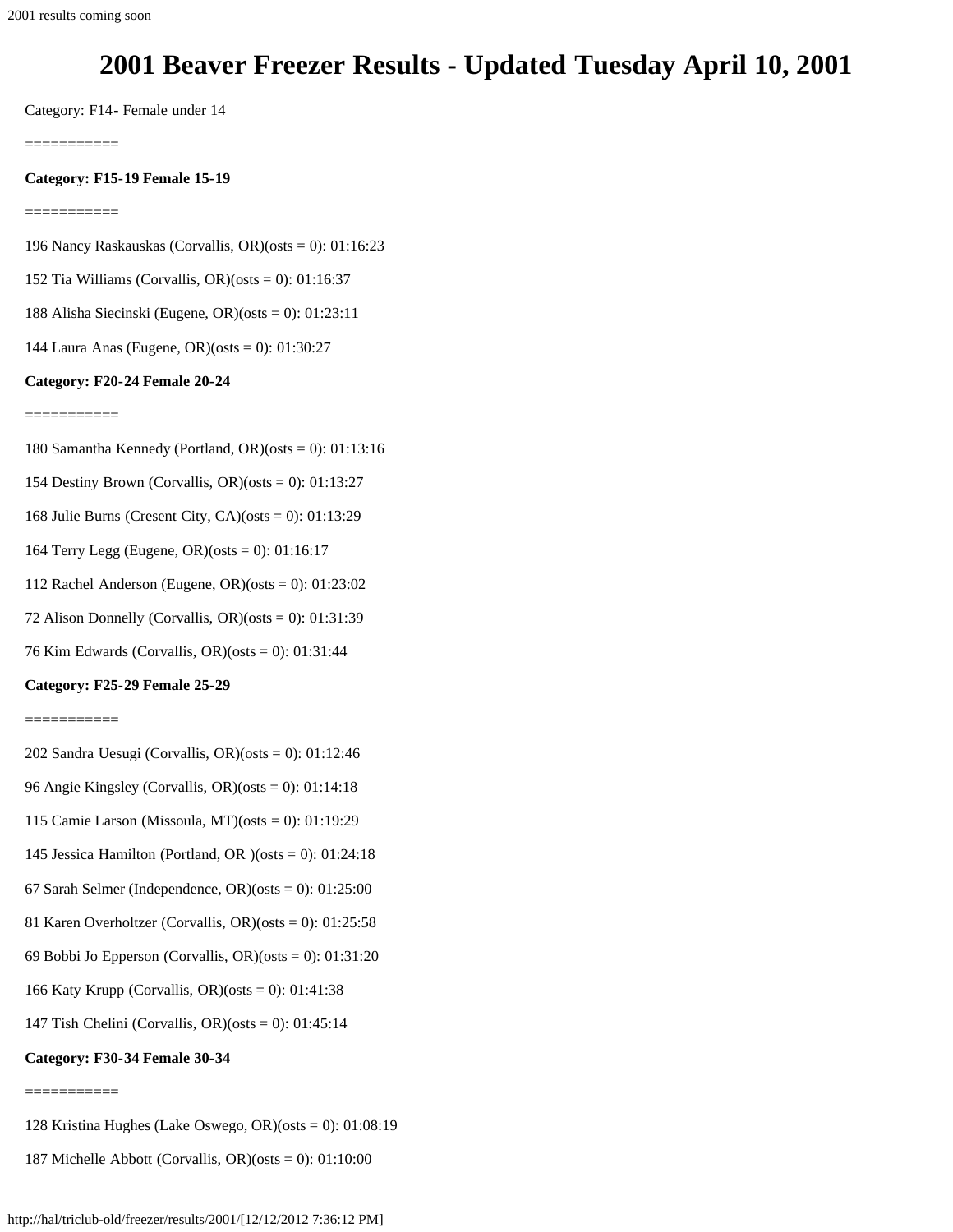# **2001 Beaver Freezer Results - Updated Tuesday April 10, 2001**

Category: F14- Female under 14

===========

### **Category: F15-19 Female 15-19**

===========

196 Nancy Raskauskas (Corvallis, OR)(osts = 0): 01:16:23

152 Tia Williams (Corvallis, OR)( $\text{osts} = 0$ ): 01:16:37

188 Alisha Siecinski (Eugene, OR)(osts = 0): 01:23:11

144 Laura Anas (Eugene, OR)(osts = 0): 01:30:27

# **Category: F20-24 Female 20-24**

===========

180 Samantha Kennedy (Portland, OR)(osts = 0): 01:13:16

154 Destiny Brown (Corvallis, OR)( $\text{osts} = 0$ ): 01:13:27

- 168 Julie Burns (Cresent City, CA)(osts = 0): 01:13:29
- 164 Terry Legg (Eugene, OR)(osts = 0): 01:16:17
- 112 Rachel Anderson (Eugene, OR)(osts = 0): 01:23:02
- 72 Alison Donnelly (Corvallis,  $OR$ )(osts = 0): 01:31:39
- 76 Kim Edwards (Corvallis, OR)(osts = 0): 01:31:44

# **Category: F25-29 Female 25-29**

===========

- 202 Sandra Uesugi (Corvallis, OR)(osts = 0): 01:12:46
- 96 Angie Kingsley (Corvallis, OR)(osts = 0): 01:14:18
- 115 Camie Larson (Missoula, MT)(osts = 0): 01:19:29
- 145 Jessica Hamilton (Portland, OR )(osts = 0): 01:24:18
- 67 Sarah Selmer (Independence,  $OR$ )( $osts = 0$ ):  $01:25:00$
- 81 Karen Overholtzer (Corvallis, OR)(osts = 0): 01:25:58
- 69 Bobbi Jo Epperson (Corvallis, OR)( $\text{osts} = 0$ ): 01:31:20
- 166 Katy Krupp (Corvallis, OR)(osts = 0): 01:41:38
- 147 Tish Chelini (Corvallis, OR)(osts = 0): 01:45:14

# **Category: F30-34 Female 30-34**

- ===========
- 128 Kristina Hughes (Lake Oswego, OR)(osts = 0): 01:08:19
- 187 Michelle Abbott (Corvallis, OR)(osts = 0): 01:10:00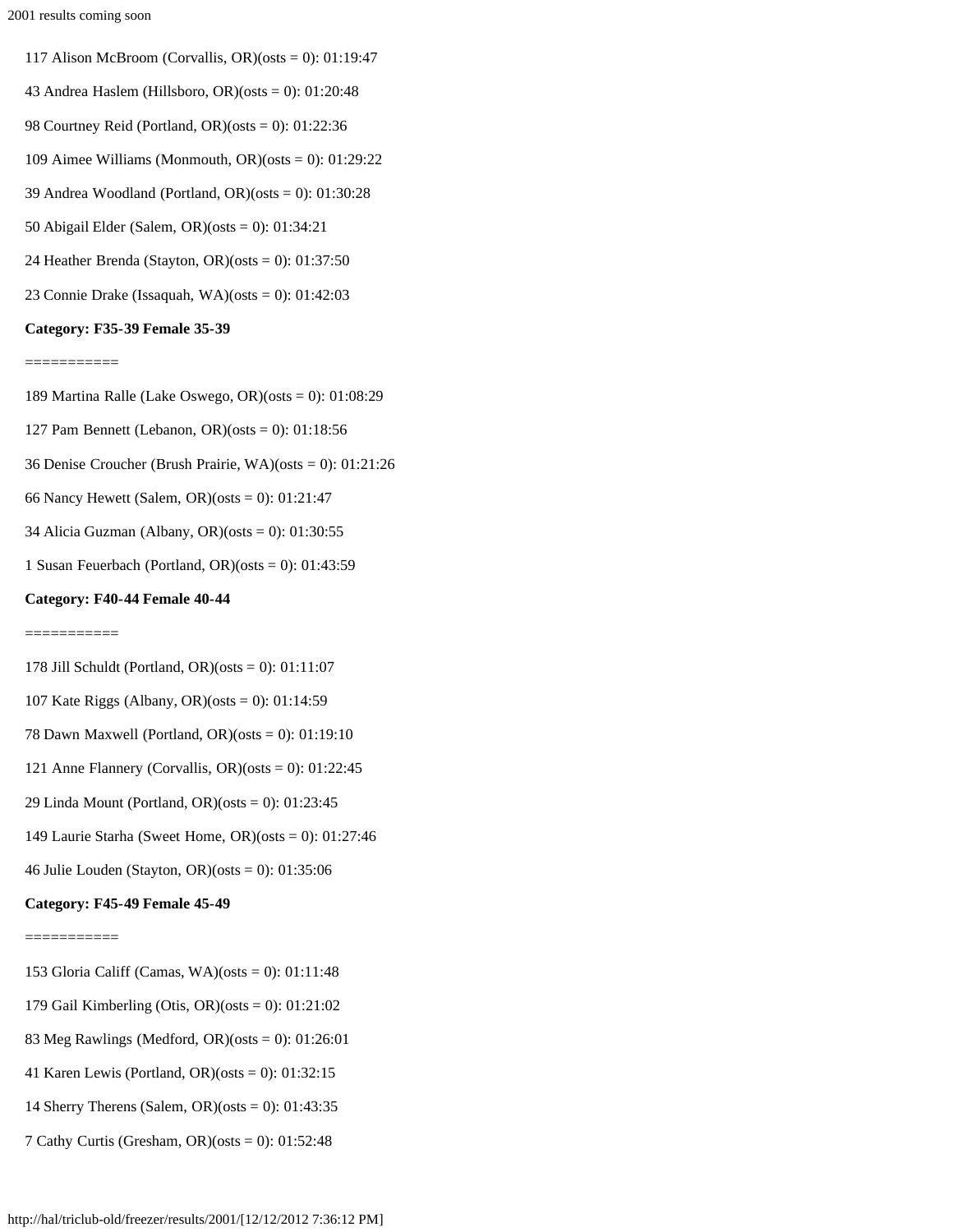- 117 Alison McBroom (Corvallis, OR)( $\text{osts} = 0$ ): 01:19:47
- 43 Andrea Haslem (Hillsboro, OR)(osts = 0): 01:20:48
- 98 Courtney Reid (Portland, OR)(osts = 0): 01:22:36
- 109 Aimee Williams (Monmouth, OR)(osts = 0): 01:29:22
- 39 Andrea Woodland (Portland, OR)(osts = 0): 01:30:28
- 50 Abigail Elder (Salem, OR)(osts = 0): 01:34:21
- 24 Heather Brenda (Stayton, OR)(osts = 0): 01:37:50
- 23 Connie Drake (Issaquah, WA)(osts = 0): 01:42:03

# **Category: F35-39 Female 35-39**

### ===========

- 189 Martina Ralle (Lake Oswego, OR)(osts = 0): 01:08:29
- 127 Pam Bennett (Lebanon, OR)(osts = 0): 01:18:56
- 36 Denise Croucher (Brush Prairie, WA)(osts = 0): 01:21:26
- 66 Nancy Hewett (Salem, OR)(osts = 0): 01:21:47
- 34 Alicia Guzman (Albany, OR)(osts = 0): 01:30:55
- 1 Susan Feuerbach (Portland, OR)(osts = 0): 01:43:59

# **Category: F40-44 Female 40-44**

- ===========
- 178 Jill Schuldt (Portland, OR)(osts = 0): 01:11:07
- 107 Kate Riggs (Albany, OR)(osts = 0): 01:14:59
- 78 Dawn Maxwell (Portland, OR)(osts = 0): 01:19:10
- 121 Anne Flannery (Corvallis, OR)(osts = 0): 01:22:45
- 29 Linda Mount (Portland, OR)(osts = 0): 01:23:45
- 149 Laurie Starha (Sweet Home, OR)(osts = 0): 01:27:46
- 46 Julie Louden (Stayton, OR)(osts = 0): 01:35:06

# **Category: F45-49 Female 45-49**

# ===========

- 153 Gloria Califf (Camas, WA)(osts = 0): 01:11:48
- 179 Gail Kimberling (Otis, OR)(osts = 0): 01:21:02
- 83 Meg Rawlings (Medford, OR)(osts = 0): 01:26:01
- 41 Karen Lewis (Portland, OR)(osts = 0): 01:32:15
- 14 Sherry Therens (Salem, OR)(osts = 0): 01:43:35
- 7 Cathy Curtis (Gresham, OR)(osts = 0): 01:52:48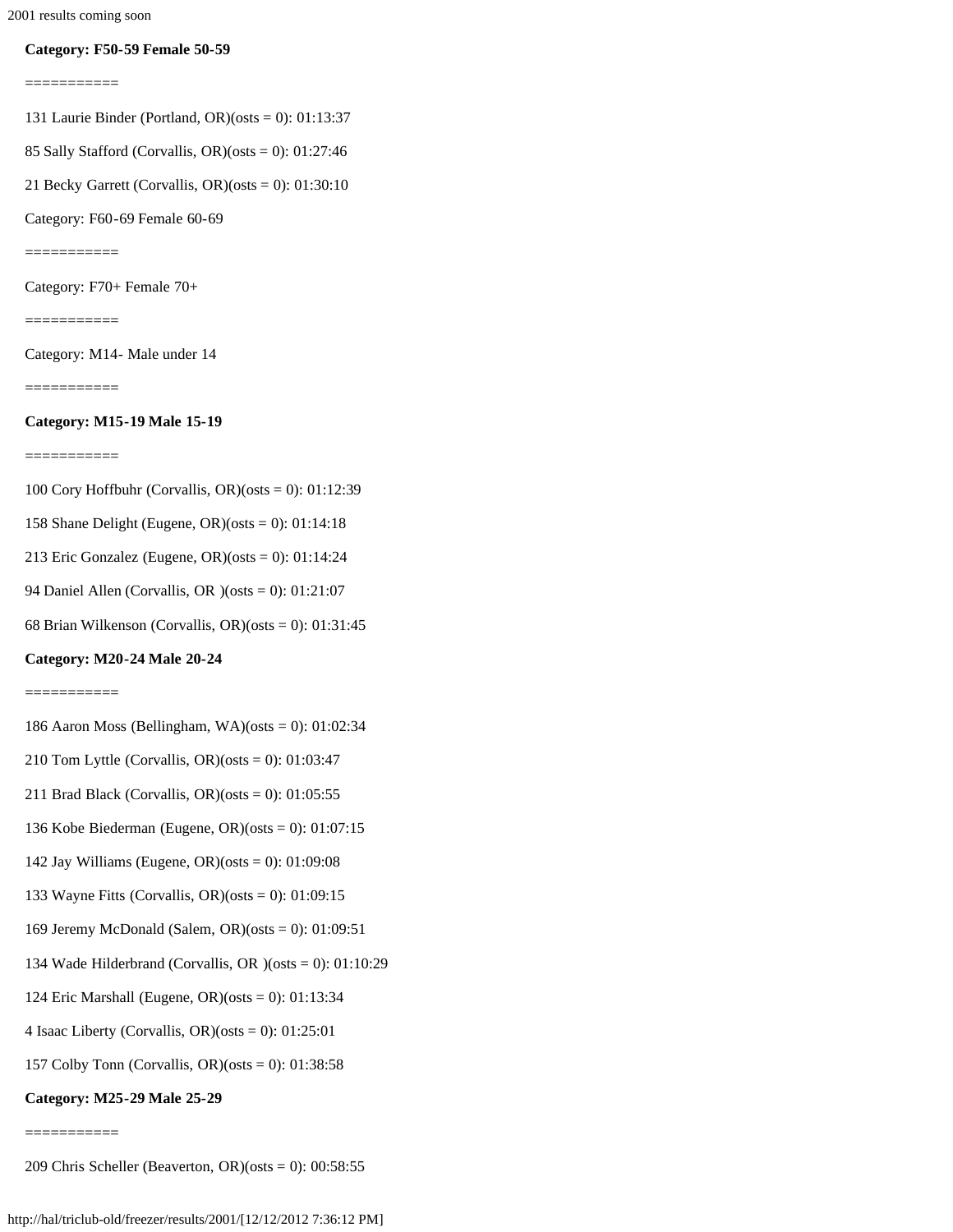```
2001 results coming soon
```
# **Category: F50-59 Female 50-59**

===========

131 Laurie Binder (Portland, OR)(osts = 0): 01:13:37

85 Sally Stafford (Corvallis, OR)(osts = 0): 01:27:46

21 Becky Garrett (Corvallis, OR)(osts = 0): 01:30:10

Category: F60-69 Female 60-69

===========

Category: F70+ Female 70+

===========

Category: M14- Male under 14

===========

### **Category: M15-19 Male 15-19**

#### ===========

100 Cory Hoffbuhr (Corvallis, OR)(osts = 0): 01:12:39

158 Shane Delight (Eugene, OR)(osts = 0): 01:14:18

213 Eric Gonzalez (Eugene, OR)(osts = 0): 01:14:24

94 Daniel Allen (Corvallis, OR )(osts = 0): 01:21:07

68 Brian Wilkenson (Corvallis, OR)(osts = 0): 01:31:45

# **Category: M20-24 Male 20-24**

===========

210 Tom Lyttle (Corvallis, OR)( $\text{osts} = 0$ ): 01:03:47

211 Brad Black (Corvallis, OR)(osts = 0): 01:05:55

136 Kobe Biederman (Eugene, OR)(osts = 0): 01:07:15

- 142 Jay Williams (Eugene, OR)(osts = 0): 01:09:08
- 133 Wayne Fitts (Corvallis, OR)(osts = 0): 01:09:15
- 169 Jeremy McDonald (Salem, OR)(osts = 0): 01:09:51
- 134 Wade Hilderbrand (Corvallis, OR )(osts = 0): 01:10:29
- 124 Eric Marshall (Eugene, OR)(osts = 0): 01:13:34
- 4 Isaac Liberty (Corvallis, OR)(osts = 0): 01:25:01
- 157 Colby Tonn (Corvallis, OR)(osts = 0): 01:38:58

# **Category: M25-29 Male 25-29**

===========

209 Chris Scheller (Beaverton, OR)( $\text{osts} = 0$ ): 00:58:55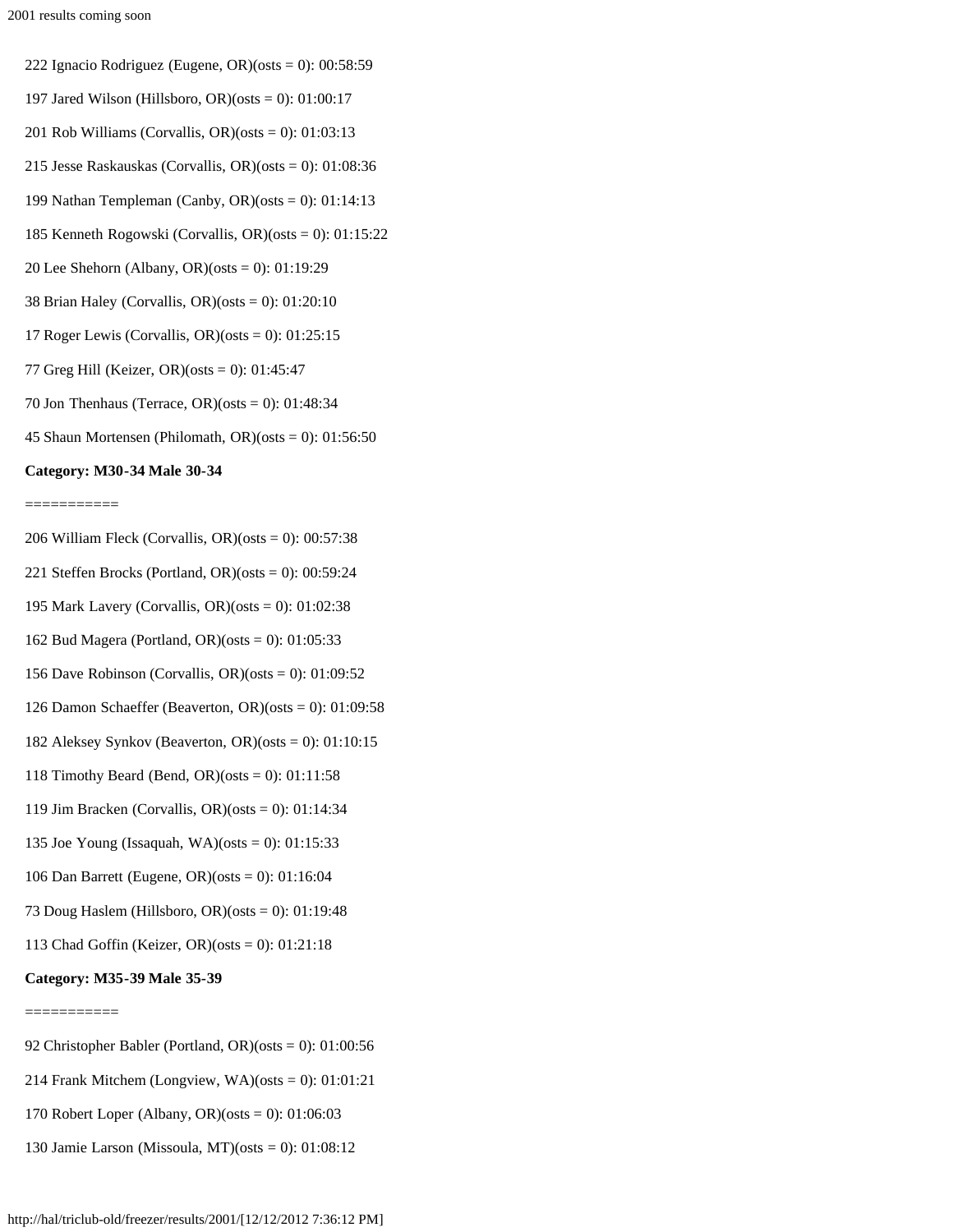- 222 Ignacio Rodriguez (Eugene, OR)(osts = 0): 00:58:59
- 197 Jared Wilson (Hillsboro, OR)(osts = 0): 01:00:17
- 201 Rob Williams (Corvallis, OR)(osts = 0): 01:03:13
- 215 Jesse Raskauskas (Corvallis, OR)(osts = 0): 01:08:36
- 199 Nathan Templeman (Canby, OR)(osts = 0): 01:14:13
- 185 Kenneth Rogowski (Corvallis, OR)(osts = 0): 01:15:22
- 20 Lee Shehorn (Albany, OR)(osts = 0): 01:19:29
- 38 Brian Haley (Corvallis, OR)(osts = 0): 01:20:10
- 17 Roger Lewis (Corvallis, OR)( $\text{osts} = 0$ ): 01:25:15
- 77 Greg Hill (Keizer, OR)(osts = 0): 01:45:47
- 70 Jon Thenhaus (Terrace, OR)( $\text{osts} = 0$ ): 01:48:34
- 45 Shaun Mortensen (Philomath, OR)( $\text{osts} = 0$ ): 01:56:50

#### **Category: M30-34 Male 30-34**

#### ===========

- 206 William Fleck (Corvallis,  $OR$ )(osts = 0): 00:57:38
- 221 Steffen Brocks (Portland, OR)(osts = 0): 00:59:24
- 195 Mark Lavery (Corvallis, OR)(osts = 0): 01:02:38
- 162 Bud Magera (Portland, OR)(osts = 0): 01:05:33
- 156 Dave Robinson (Corvallis, OR)(osts = 0): 01:09:52
- 126 Damon Schaeffer (Beaverton, OR)(osts = 0): 01:09:58
- 182 Aleksey Synkov (Beaverton, OR)(osts = 0): 01:10:15
- 118 Timothy Beard (Bend, OR)(osts = 0): 01:11:58
- 119 Jim Bracken (Corvallis, OR)(osts = 0): 01:14:34
- 135 Joe Young (Issaquah, WA)(osts = 0): 01:15:33
- 106 Dan Barrett (Eugene, OR)(osts = 0): 01:16:04
- 73 Doug Haslem (Hillsboro, OR)(osts = 0): 01:19:48
- 113 Chad Goffin (Keizer, OR)(osts = 0): 01:21:18

#### **Category: M35-39 Male 35-39**

#### ===========

- 92 Christopher Babler (Portland, OR)(osts = 0): 01:00:56
- 214 Frank Mitchem (Longview, WA)( $osts = 0$ ):  $01:01:21$
- 170 Robert Loper (Albany, OR)(osts = 0): 01:06:03
- 130 Jamie Larson (Missoula, MT)(osts = 0): 01:08:12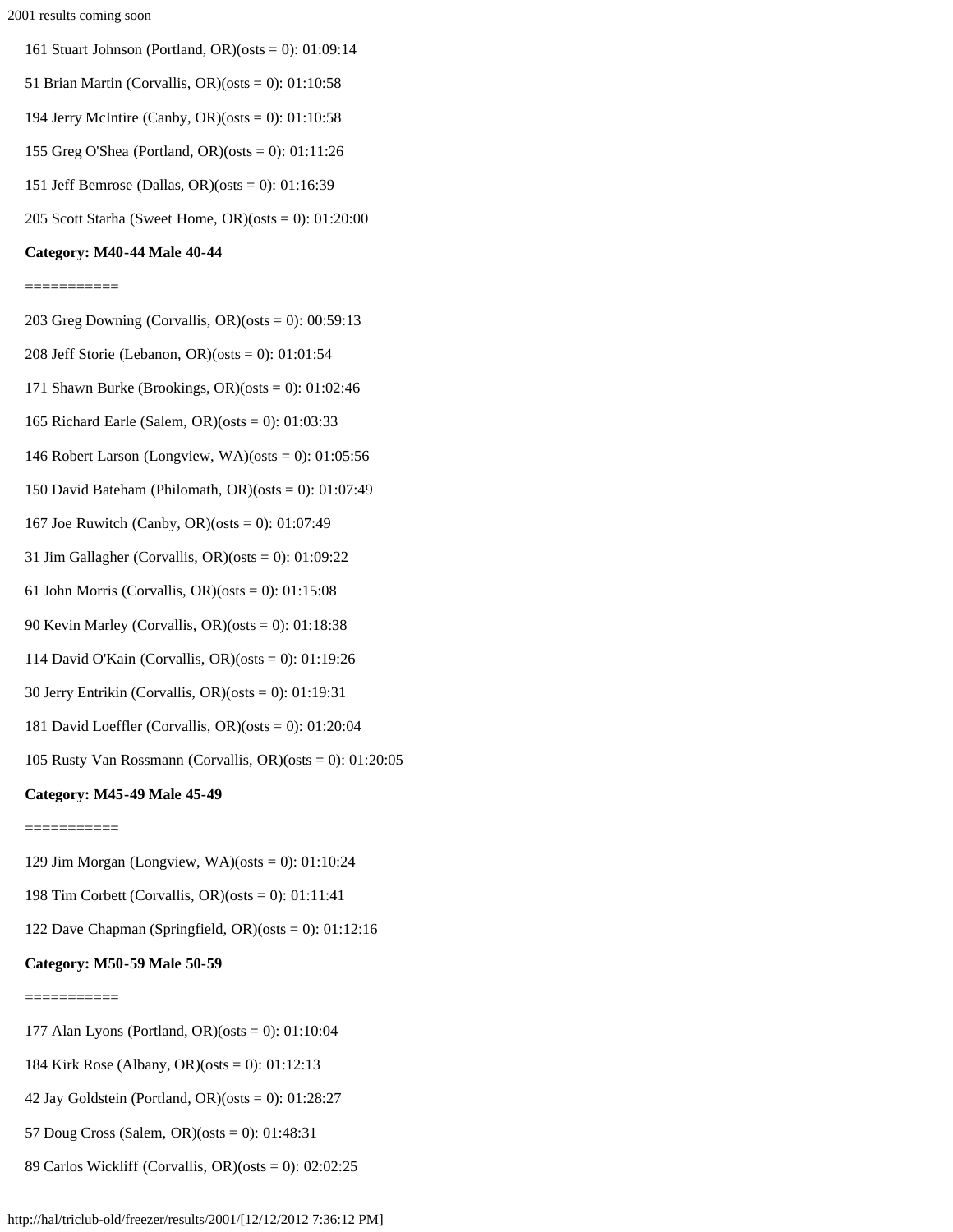- 161 Stuart Johnson (Portland, OR)(osts = 0): 01:09:14
- 51 Brian Martin (Corvallis, OR)(osts = 0): 01:10:58
- 194 Jerry McIntire (Canby, OR)(osts = 0): 01:10:58
- 155 Greg O'Shea (Portland, OR)(osts = 0): 01:11:26
- 151 Jeff Bemrose (Dallas, OR)(osts = 0): 01:16:39
- 205 Scott Starha (Sweet Home, OR)(osts = 0): 01:20:00

# **Category: M40-44 Male 40-44**

#### ===========

- 203 Greg Downing (Corvallis, OR)(osts = 0): 00:59:13
- 208 Jeff Storie (Lebanon, OR)(osts = 0): 01:01:54
- 171 Shawn Burke (Brookings, OR)(osts = 0): 01:02:46
- 165 Richard Earle (Salem, OR)(osts = 0): 01:03:33
- 146 Robert Larson (Longview, WA)(osts = 0): 01:05:56
- 150 David Bateham (Philomath, OR)(osts = 0): 01:07:49
- 167 Joe Ruwitch (Canby, OR)(osts = 0): 01:07:49
- 31 Jim Gallagher (Corvallis, OR)(osts = 0): 01:09:22
- 61 John Morris (Corvallis, OR)( $\text{osts} = 0$ ): 01:15:08
- 90 Kevin Marley (Corvallis, OR)(osts = 0): 01:18:38
- 114 David O'Kain (Corvallis, OR)(osts = 0): 01:19:26
- 30 Jerry Entrikin (Corvallis, OR)(osts = 0): 01:19:31
- 181 David Loeffler (Corvallis, OR)(osts = 0): 01:20:04
- 105 Rusty Van Rossmann (Corvallis, OR)(osts = 0): 01:20:05

# **Category: M45-49 Male 45-49**

===========

129 Jim Morgan (Longview, WA)(osts = 0): 01:10:24

- 198 Tim Corbett (Corvallis, OR)(osts = 0): 01:11:41
- 122 Dave Chapman (Springfield, OR)(osts = 0): 01:12:16

# **Category: M50-59 Male 50-59**

- ===========
- 177 Alan Lyons (Portland, OR)(osts = 0): 01:10:04
- 184 Kirk Rose (Albany, OR)(osts = 0): 01:12:13
- 42 Jay Goldstein (Portland, OR)(osts = 0): 01:28:27
- 57 Doug Cross (Salem, OR)(osts = 0): 01:48:31
- 89 Carlos Wickliff (Corvallis, OR)(osts = 0): 02:02:25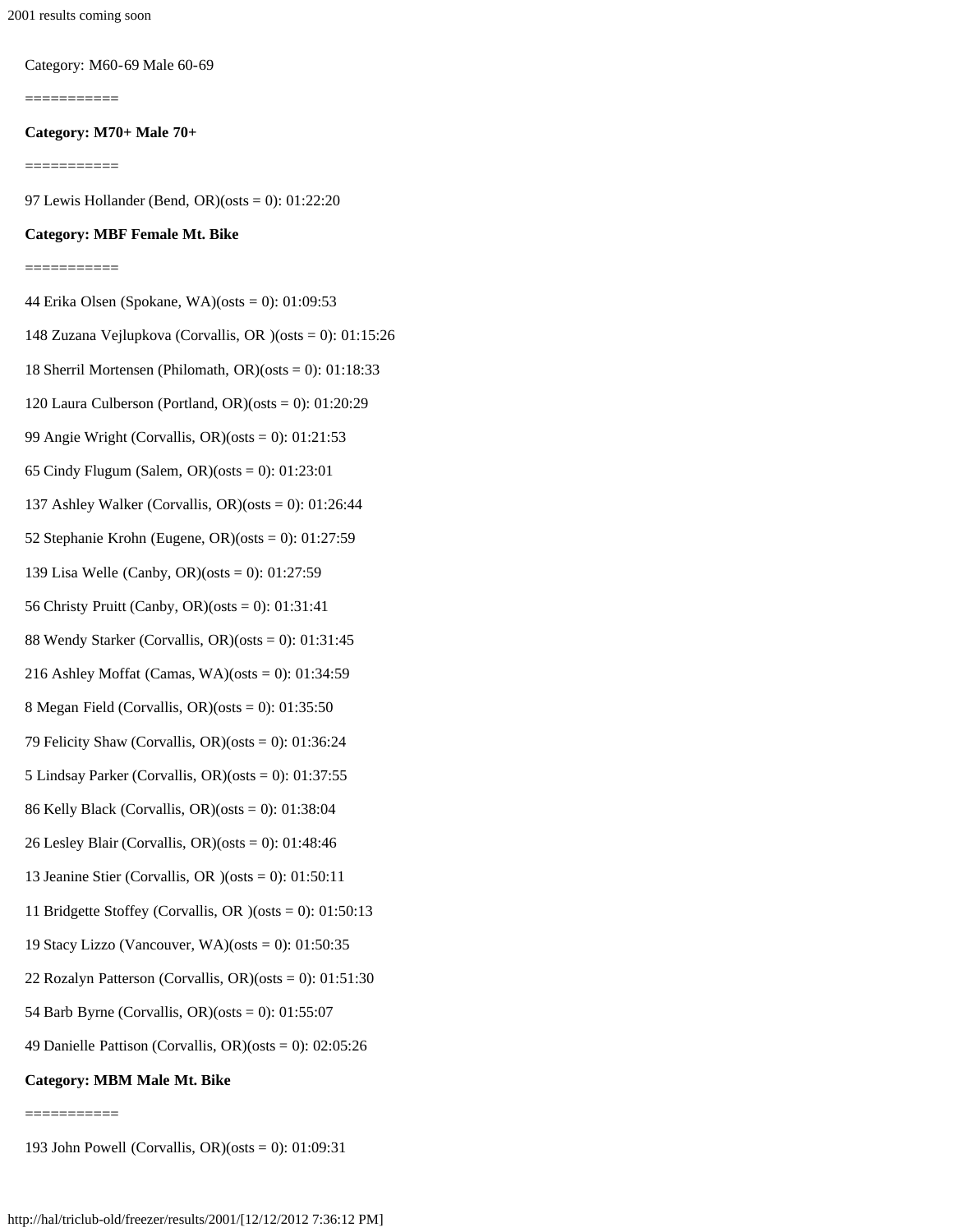Category: M60-69 Male 60-69

===========

# **Category: M70+ Male 70+**

===========

97 Lewis Hollander (Bend, OR)(osts = 0): 01:22:20

#### **Category: MBF Female Mt. Bike**

===========

- 44 Erika Olsen (Spokane, WA)(osts = 0): 01:09:53 148 Zuzana Vejlupkova (Corvallis, OR )(osts = 0): 01:15:26 18 Sherril Mortensen (Philomath, OR)(osts = 0): 01:18:33 120 Laura Culberson (Portland, OR)(osts = 0): 01:20:29 99 Angie Wright (Corvallis, OR)(osts = 0): 01:21:53 65 Cindy Flugum (Salem, OR)(osts = 0): 01:23:01 137 Ashley Walker (Corvallis, OR)(osts = 0): 01:26:44 52 Stephanie Krohn (Eugene, OR)(osts = 0): 01:27:59 139 Lisa Welle (Canby, OR)(osts = 0): 01:27:59 56 Christy Pruitt (Canby, OR)(osts = 0): 01:31:41 88 Wendy Starker (Corvallis, OR)(osts = 0): 01:31:45 216 Ashley Moffat (Camas, WA)(osts = 0): 01:34:59 8 Megan Field (Corvallis, OR)(osts = 0): 01:35:50 79 Felicity Shaw (Corvallis, OR)( $\text{osts} = 0$ ): 01:36:24 5 Lindsay Parker (Corvallis, OR)(osts = 0): 01:37:55 86 Kelly Black (Corvallis, OR)(osts = 0): 01:38:04 26 Lesley Blair (Corvallis, OR)(osts = 0): 01:48:46 13 Jeanine Stier (Corvallis, OR )(osts = 0): 01:50:11 11 Bridgette Stoffey (Corvallis, OR )(osts = 0): 01:50:13 19 Stacy Lizzo (Vancouver, WA)(osts = 0): 01:50:35 22 Rozalyn Patterson (Corvallis, OR)(osts = 0): 01:51:30 54 Barb Byrne (Corvallis, OR)(osts = 0): 01:55:07 49 Danielle Pattison (Corvallis, OR)(osts = 0): 02:05:26 **Category: MBM Male Mt. Bike**
- ===========

193 John Powell (Corvallis, OR)(osts = 0): 01:09:31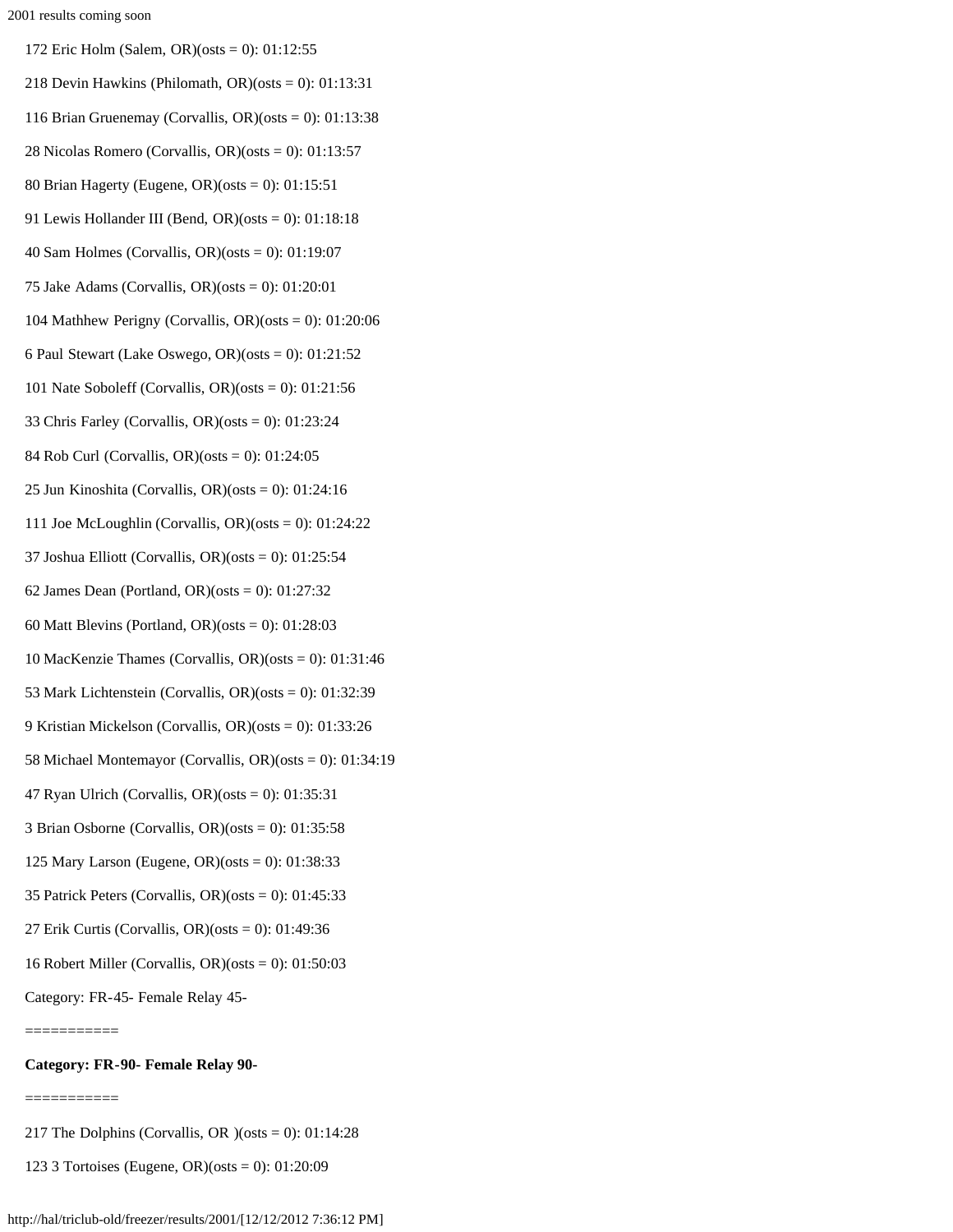- 172 Eric Holm (Salem, OR)(osts = 0): 01:12:55 218 Devin Hawkins (Philomath, OR)( $\text{osts} = 0$ ): 01:13:31 116 Brian Gruenemay (Corvallis, OR)( $\text{osts} = 0$ ): 01:13:38 28 Nicolas Romero (Corvallis, OR)( $\text{osts} = 0$ ): 01:13:57 80 Brian Hagerty (Eugene, OR)(osts = 0): 01:15:51 91 Lewis Hollander III (Bend, OR)(osts = 0): 01:18:18 40 Sam Holmes (Corvallis, OR)(osts = 0): 01:19:07 75 Jake Adams (Corvallis, OR)(osts = 0): 01:20:01 104 Mathhew Perigny (Corvallis, OR)(osts = 0): 01:20:06 6 Paul Stewart (Lake Oswego, OR)( $\text{osts} = 0$ ): 01:21:52 101 Nate Soboleff (Corvallis, OR)(osts = 0): 01:21:56 33 Chris Farley (Corvallis, OR)(osts = 0): 01:23:24 84 Rob Curl (Corvallis, OR)(osts = 0): 01:24:05 25 Jun Kinoshita (Corvallis, OR)(osts = 0): 01:24:16 111 Joe McLoughlin (Corvallis, OR)(osts = 0): 01:24:22 37 Joshua Elliott (Corvallis, OR)( $\text{osts} = 0$ ): 01:25:54 62 James Dean (Portland, OR)(osts = 0): 01:27:32 60 Matt Blevins (Portland, OR)( $\text{osts} = 0$ ): 01:28:03 10 MacKenzie Thames (Corvallis, OR)(osts = 0): 01:31:46 53 Mark Lichtenstein (Corvallis, OR)(osts = 0): 01:32:39 9 Kristian Mickelson (Corvallis, OR)(osts = 0): 01:33:26 58 Michael Montemayor (Corvallis, OR)(osts = 0): 01:34:19 47 Ryan Ulrich (Corvallis, OR)( $\text{osts} = 0$ ): 01:35:31 3 Brian Osborne (Corvallis, OR)(osts = 0): 01:35:58 125 Mary Larson (Eugene, OR)(osts = 0): 01:38:33
- 35 Patrick Peters (Corvallis, OR)( $\text{osts} = 0$ ): 01:45:33
- 27 Erik Curtis (Corvallis, OR)(osts = 0): 01:49:36
- 16 Robert Miller (Corvallis, OR)(osts = 0): 01:50:03
- Category: FR-45- Female Relay 45-
- ===========

#### **Category: FR-90- Female Relay 90-**

- ===========
- 217 The Dolphins (Corvallis, OR) ( $\text{osts} = 0$ ): 01:14:28
- 123 3 Tortoises (Eugene, OR)(osts = 0): 01:20:09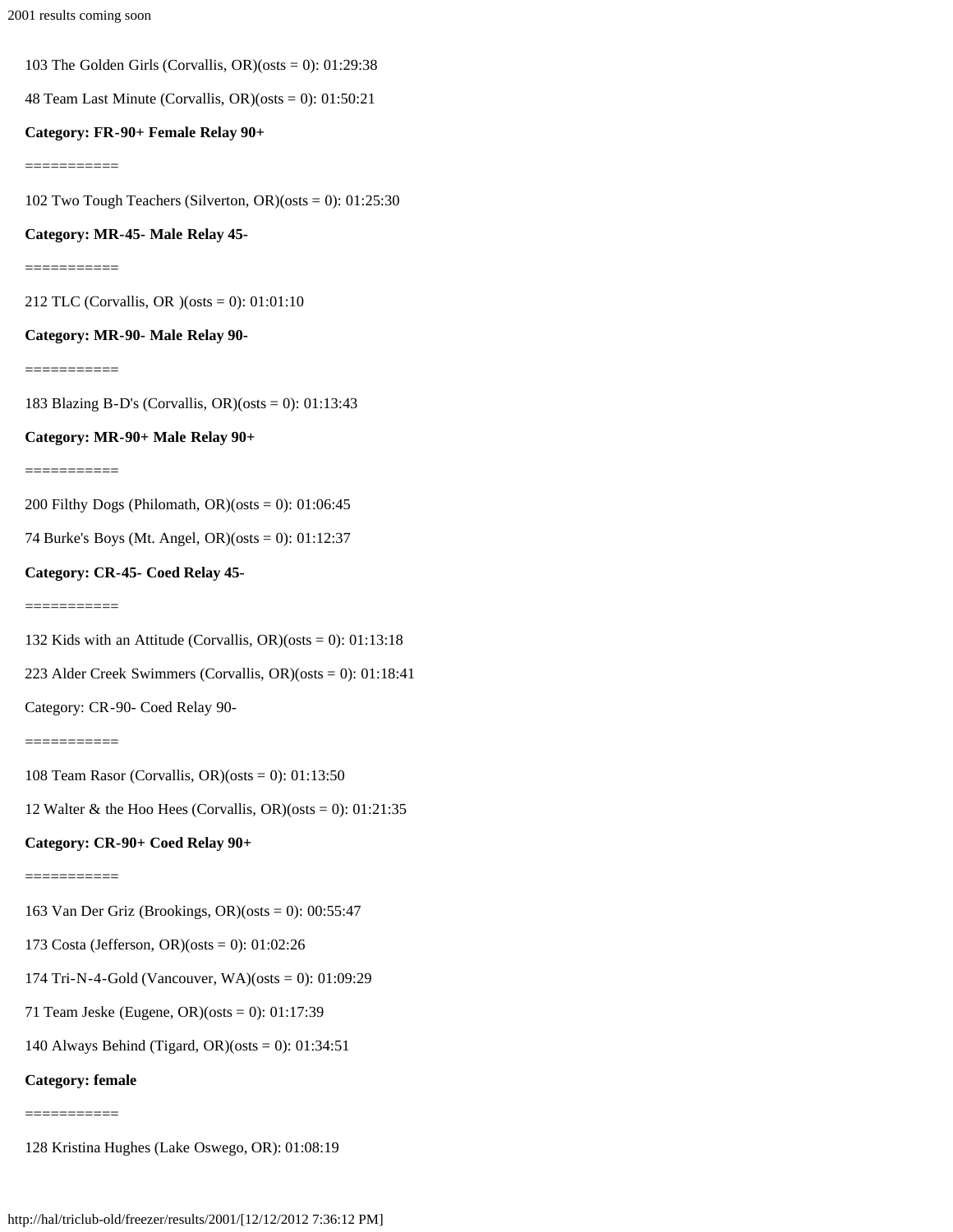103 The Golden Girls (Corvallis,  $OR$ )(osts = 0): 01:29:38

48 Team Last Minute (Corvallis,  $OR$ )( $osts = 0$ ): 01:50:21

# **Category: FR-90+ Female Relay 90+**

===========

102 Two Tough Teachers (Silverton, OR)(osts = 0): 01:25:30

# **Category: MR-45- Male Relay 45-**

===========

212 TLC (Corvallis, OR )(osts = 0): 01:01:10

# **Category: MR-90- Male Relay 90-**

===========

183 Blazing B-D's (Corvallis, OR)(osts = 0): 01:13:43

# **Category: MR-90+ Male Relay 90+**

===========

200 Filthy Dogs (Philomath, OR)(osts = 0): 01:06:45

74 Burke's Boys (Mt. Angel, OR)(osts = 0): 01:12:37

# **Category: CR-45- Coed Relay 45-**

===========

132 Kids with an Attitude (Corvallis, OR)(osts = 0): 01:13:18

223 Alder Creek Swimmers (Corvallis, OR)(osts = 0): 01:18:41

Category: CR-90- Coed Relay 90-

===========

108 Team Rasor (Corvallis, OR)(osts = 0): 01:13:50

12 Walter & the Hoo Hees (Corvallis, OR)(osts = 0):  $01:21:35$ 

# **Category: CR-90+ Coed Relay 90+**

===========

163 Van Der Griz (Brookings, OR)(osts = 0): 00:55:47

173 Costa (Jefferson, OR)(osts = 0): 01:02:26

174 Tri-N-4-Gold (Vancouver, WA)(osts = 0): 01:09:29

- 71 Team Jeske (Eugene, OR)(osts = 0): 01:17:39
- 140 Always Behind (Tigard, OR)(osts = 0): 01:34:51

**Category: female**

===========

128 Kristina Hughes (Lake Oswego, OR): 01:08:19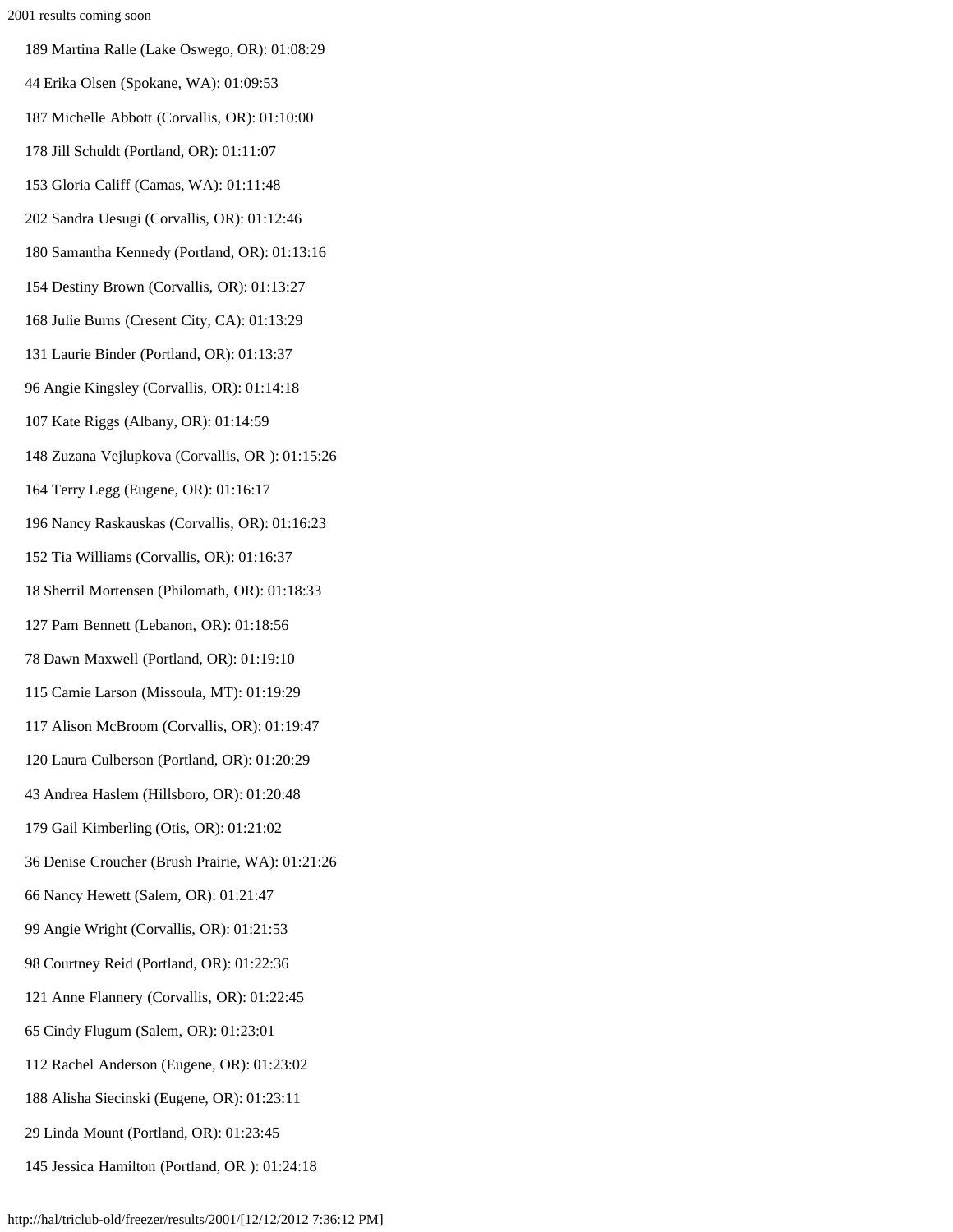- 189 Martina Ralle (Lake Oswego, OR): 01:08:29
- 44 Erika Olsen (Spokane, WA): 01:09:53
- 187 Michelle Abbott (Corvallis, OR): 01:10:00
- 178 Jill Schuldt (Portland, OR): 01:11:07
- 153 Gloria Califf (Camas, WA): 01:11:48
- 202 Sandra Uesugi (Corvallis, OR): 01:12:46
- 180 Samantha Kennedy (Portland, OR): 01:13:16
- 154 Destiny Brown (Corvallis, OR): 01:13:27
- 168 Julie Burns (Cresent City, CA): 01:13:29
- 131 Laurie Binder (Portland, OR): 01:13:37
- 96 Angie Kingsley (Corvallis, OR): 01:14:18
- 107 Kate Riggs (Albany, OR): 01:14:59
- 148 Zuzana Vejlupkova (Corvallis, OR ): 01:15:26
- 164 Terry Legg (Eugene, OR): 01:16:17
- 196 Nancy Raskauskas (Corvallis, OR): 01:16:23
- 152 Tia Williams (Corvallis, OR): 01:16:37
- 18 Sherril Mortensen (Philomath, OR): 01:18:33
- 127 Pam Bennett (Lebanon, OR): 01:18:56
- 78 Dawn Maxwell (Portland, OR): 01:19:10
- 115 Camie Larson (Missoula, MT): 01:19:29
- 117 Alison McBroom (Corvallis, OR): 01:19:47
- 120 Laura Culberson (Portland, OR): 01:20:29
- 43 Andrea Haslem (Hillsboro, OR): 01:20:48
- 179 Gail Kimberling (Otis, OR): 01:21:02
- 36 Denise Croucher (Brush Prairie, WA): 01:21:26
- 66 Nancy Hewett (Salem, OR): 01:21:47
- 99 Angie Wright (Corvallis, OR): 01:21:53
- 98 Courtney Reid (Portland, OR): 01:22:36
- 121 Anne Flannery (Corvallis, OR): 01:22:45
- 65 Cindy Flugum (Salem, OR): 01:23:01
- 112 Rachel Anderson (Eugene, OR): 01:23:02
- 188 Alisha Siecinski (Eugene, OR): 01:23:11
- 29 Linda Mount (Portland, OR): 01:23:45
- 145 Jessica Hamilton (Portland, OR ): 01:24:18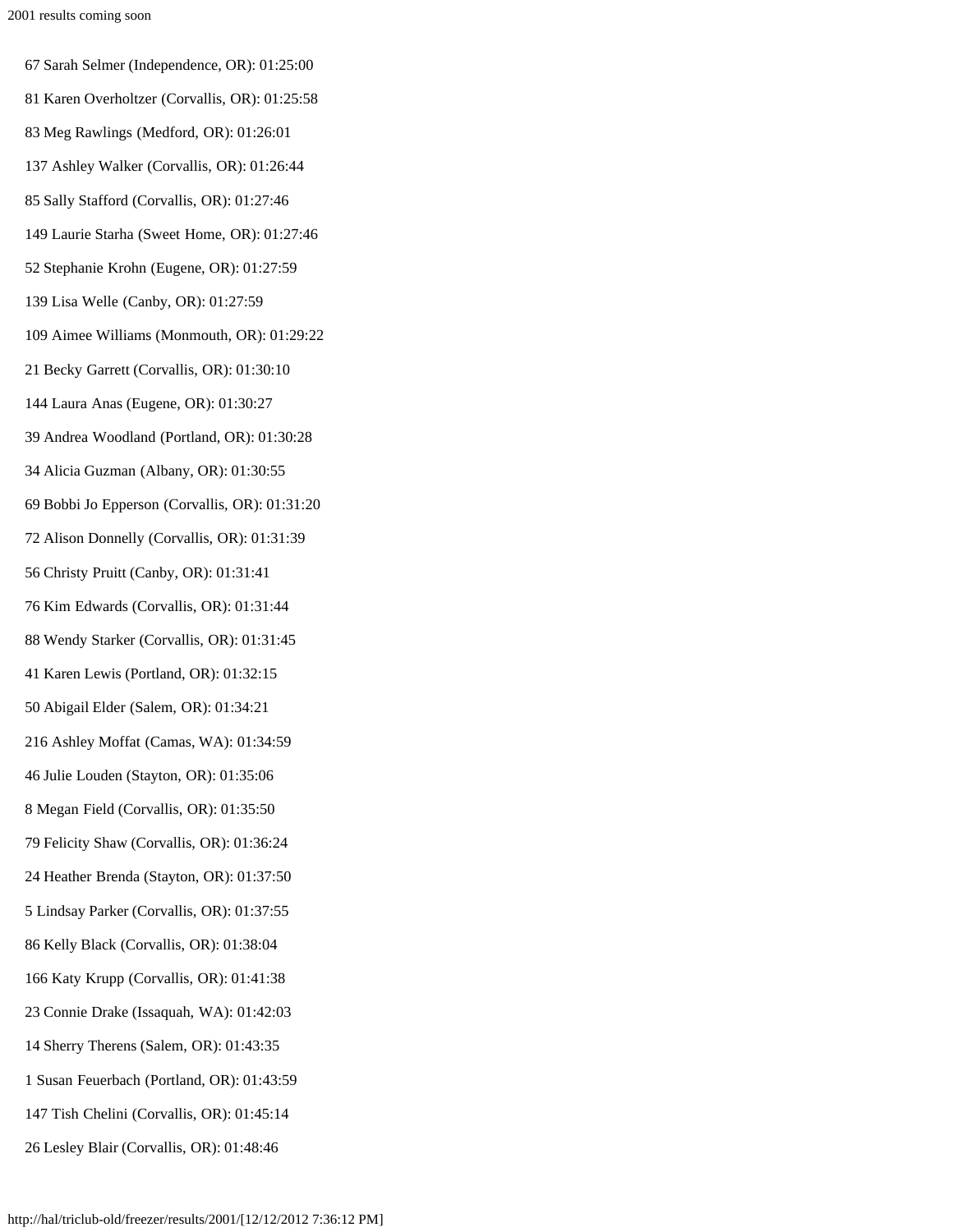- 67 Sarah Selmer (Independence, OR): 01:25:00
- 81 Karen Overholtzer (Corvallis, OR): 01:25:58
- 83 Meg Rawlings (Medford, OR): 01:26:01
- 137 Ashley Walker (Corvallis, OR): 01:26:44
- 85 Sally Stafford (Corvallis, OR): 01:27:46
- 149 Laurie Starha (Sweet Home, OR): 01:27:46
- 52 Stephanie Krohn (Eugene, OR): 01:27:59
- 139 Lisa Welle (Canby, OR): 01:27:59
- 109 Aimee Williams (Monmouth, OR): 01:29:22
- 21 Becky Garrett (Corvallis, OR): 01:30:10
- 144 Laura Anas (Eugene, OR): 01:30:27
- 39 Andrea Woodland (Portland, OR): 01:30:28
- 34 Alicia Guzman (Albany, OR): 01:30:55
- 69 Bobbi Jo Epperson (Corvallis, OR): 01:31:20
- 72 Alison Donnelly (Corvallis, OR): 01:31:39
- 56 Christy Pruitt (Canby, OR): 01:31:41
- 76 Kim Edwards (Corvallis, OR): 01:31:44
- 88 Wendy Starker (Corvallis, OR): 01:31:45
- 41 Karen Lewis (Portland, OR): 01:32:15
- 50 Abigail Elder (Salem, OR): 01:34:21
- 216 Ashley Moffat (Camas, WA): 01:34:59
- 46 Julie Louden (Stayton, OR): 01:35:06
- 8 Megan Field (Corvallis, OR): 01:35:50
- 79 Felicity Shaw (Corvallis, OR): 01:36:24
- 24 Heather Brenda (Stayton, OR): 01:37:50
- 5 Lindsay Parker (Corvallis, OR): 01:37:55
- 86 Kelly Black (Corvallis, OR): 01:38:04
- 166 Katy Krupp (Corvallis, OR): 01:41:38
- 23 Connie Drake (Issaquah, WA): 01:42:03
- 14 Sherry Therens (Salem, OR): 01:43:35
- 1 Susan Feuerbach (Portland, OR): 01:43:59
- 147 Tish Chelini (Corvallis, OR): 01:45:14
- 26 Lesley Blair (Corvallis, OR): 01:48:46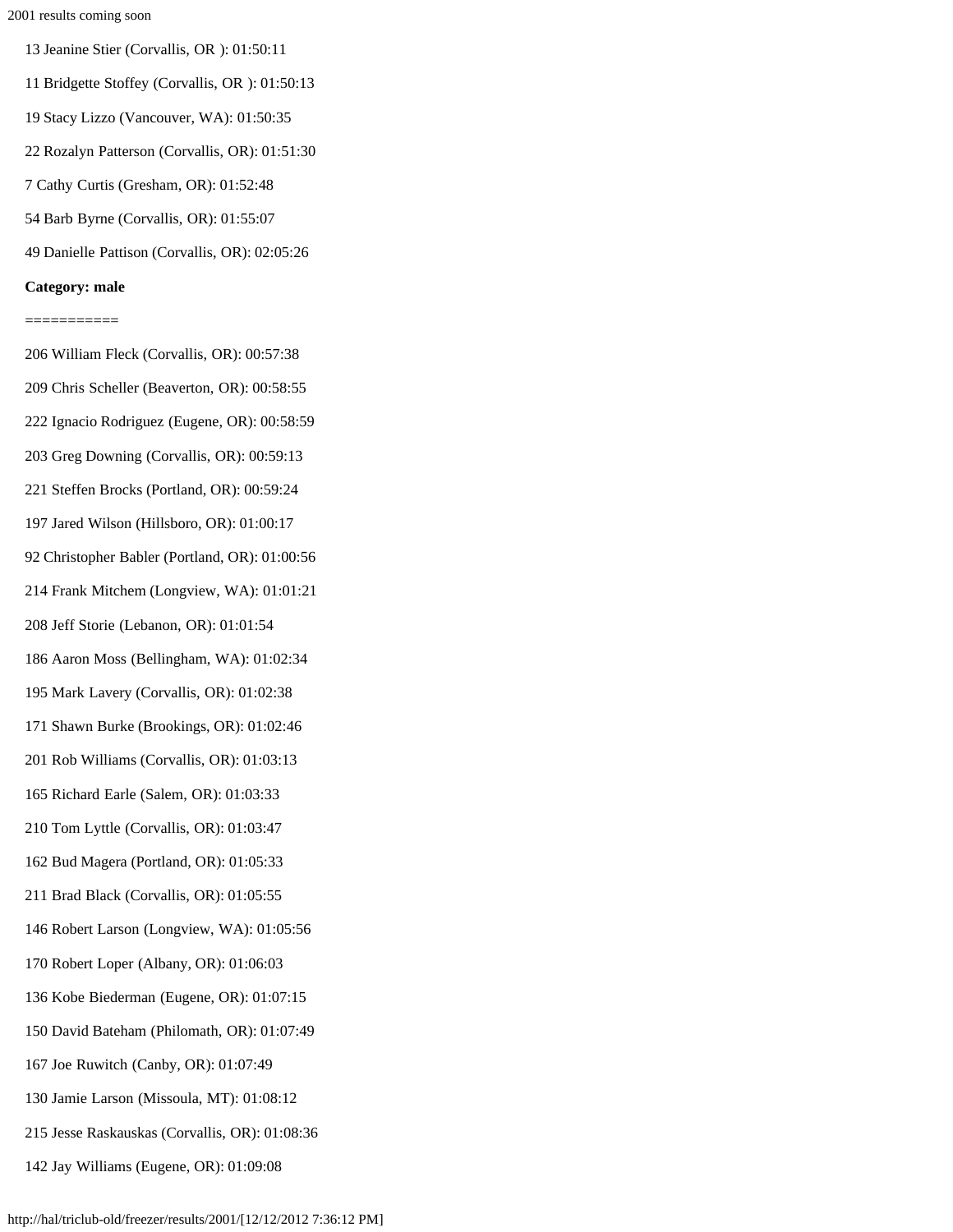- 13 Jeanine Stier (Corvallis, OR ): 01:50:11
- 11 Bridgette Stoffey (Corvallis, OR ): 01:50:13
- 19 Stacy Lizzo (Vancouver, WA): 01:50:35
- 22 Rozalyn Patterson (Corvallis, OR): 01:51:30
- 7 Cathy Curtis (Gresham, OR): 01:52:48
- 54 Barb Byrne (Corvallis, OR): 01:55:07
- 49 Danielle Pattison (Corvallis, OR): 02:05:26

#### **Category: male**

===========

206 William Fleck (Corvallis, OR): 00:57:38

- 209 Chris Scheller (Beaverton, OR): 00:58:55
- 222 Ignacio Rodriguez (Eugene, OR): 00:58:59
- 203 Greg Downing (Corvallis, OR): 00:59:13
- 221 Steffen Brocks (Portland, OR): 00:59:24
- 197 Jared Wilson (Hillsboro, OR): 01:00:17
- 92 Christopher Babler (Portland, OR): 01:00:56
- 214 Frank Mitchem (Longview, WA): 01:01:21
- 208 Jeff Storie (Lebanon, OR): 01:01:54
- 186 Aaron Moss (Bellingham, WA): 01:02:34
- 195 Mark Lavery (Corvallis, OR): 01:02:38
- 171 Shawn Burke (Brookings, OR): 01:02:46
- 201 Rob Williams (Corvallis, OR): 01:03:13
- 165 Richard Earle (Salem, OR): 01:03:33
- 210 Tom Lyttle (Corvallis, OR): 01:03:47
- 162 Bud Magera (Portland, OR): 01:05:33
- 211 Brad Black (Corvallis, OR): 01:05:55
- 146 Robert Larson (Longview, WA): 01:05:56
- 170 Robert Loper (Albany, OR): 01:06:03
- 136 Kobe Biederman (Eugene, OR): 01:07:15
- 150 David Bateham (Philomath, OR): 01:07:49
- 167 Joe Ruwitch (Canby, OR): 01:07:49
- 130 Jamie Larson (Missoula, MT): 01:08:12
- 215 Jesse Raskauskas (Corvallis, OR): 01:08:36
- 142 Jay Williams (Eugene, OR): 01:09:08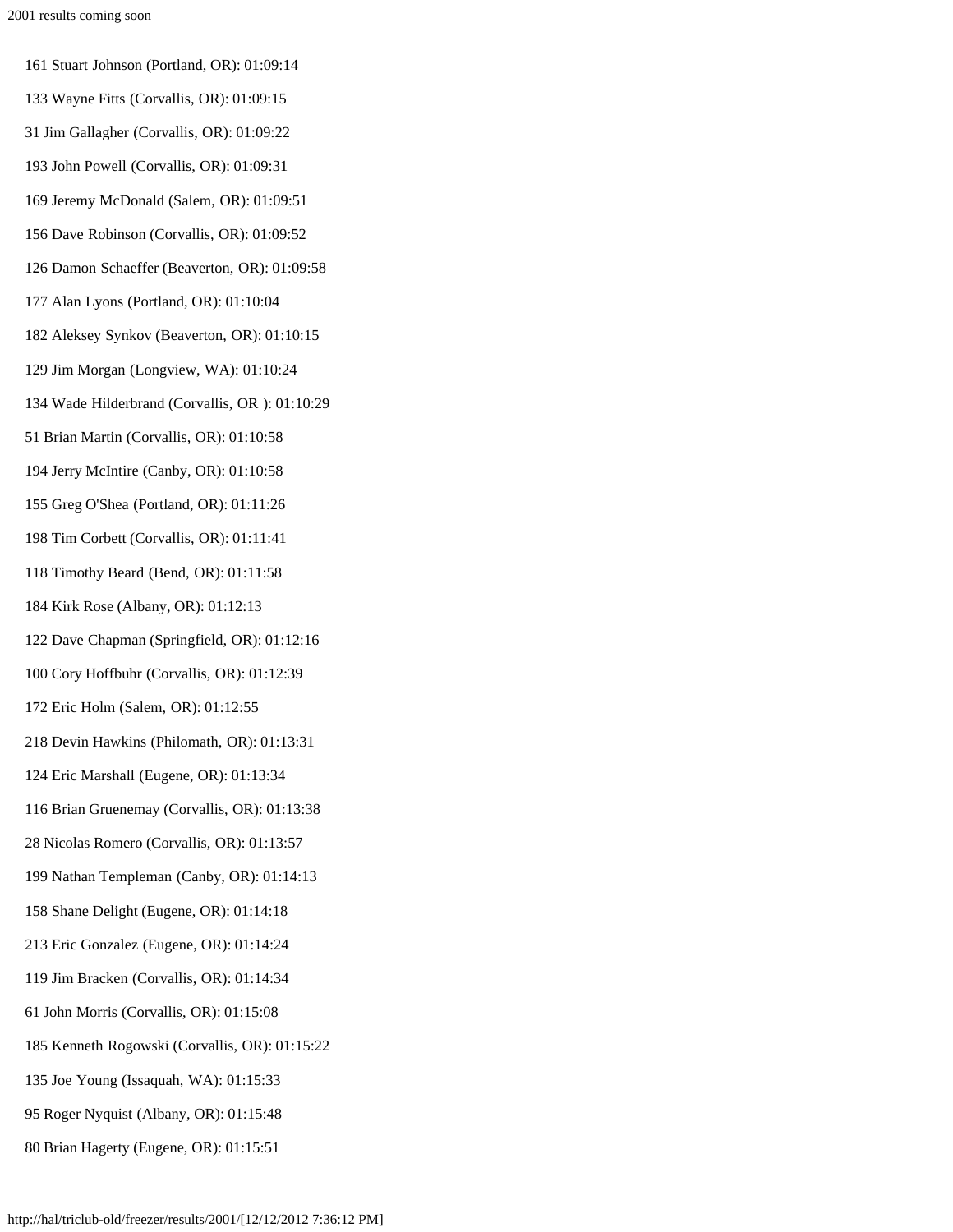- 161 Stuart Johnson (Portland, OR): 01:09:14
- 133 Wayne Fitts (Corvallis, OR): 01:09:15
- 31 Jim Gallagher (Corvallis, OR): 01:09:22
- 193 John Powell (Corvallis, OR): 01:09:31
- 169 Jeremy McDonald (Salem, OR): 01:09:51
- 156 Dave Robinson (Corvallis, OR): 01:09:52
- 126 Damon Schaeffer (Beaverton, OR): 01:09:58
- 177 Alan Lyons (Portland, OR): 01:10:04
- 182 Aleksey Synkov (Beaverton, OR): 01:10:15
- 129 Jim Morgan (Longview, WA): 01:10:24
- 134 Wade Hilderbrand (Corvallis, OR ): 01:10:29
- 51 Brian Martin (Corvallis, OR): 01:10:58
- 194 Jerry McIntire (Canby, OR): 01:10:58
- 155 Greg O'Shea (Portland, OR): 01:11:26
- 198 Tim Corbett (Corvallis, OR): 01:11:41
- 118 Timothy Beard (Bend, OR): 01:11:58
- 184 Kirk Rose (Albany, OR): 01:12:13
- 122 Dave Chapman (Springfield, OR): 01:12:16
- 100 Cory Hoffbuhr (Corvallis, OR): 01:12:39
- 172 Eric Holm (Salem, OR): 01:12:55
- 218 Devin Hawkins (Philomath, OR): 01:13:31
- 124 Eric Marshall (Eugene, OR): 01:13:34
- 116 Brian Gruenemay (Corvallis, OR): 01:13:38
- 28 Nicolas Romero (Corvallis, OR): 01:13:57
- 199 Nathan Templeman (Canby, OR): 01:14:13
- 158 Shane Delight (Eugene, OR): 01:14:18
- 213 Eric Gonzalez (Eugene, OR): 01:14:24
- 119 Jim Bracken (Corvallis, OR): 01:14:34
- 61 John Morris (Corvallis, OR): 01:15:08
- 185 Kenneth Rogowski (Corvallis, OR): 01:15:22
- 135 Joe Young (Issaquah, WA): 01:15:33
- 95 Roger Nyquist (Albany, OR): 01:15:48
- 80 Brian Hagerty (Eugene, OR): 01:15:51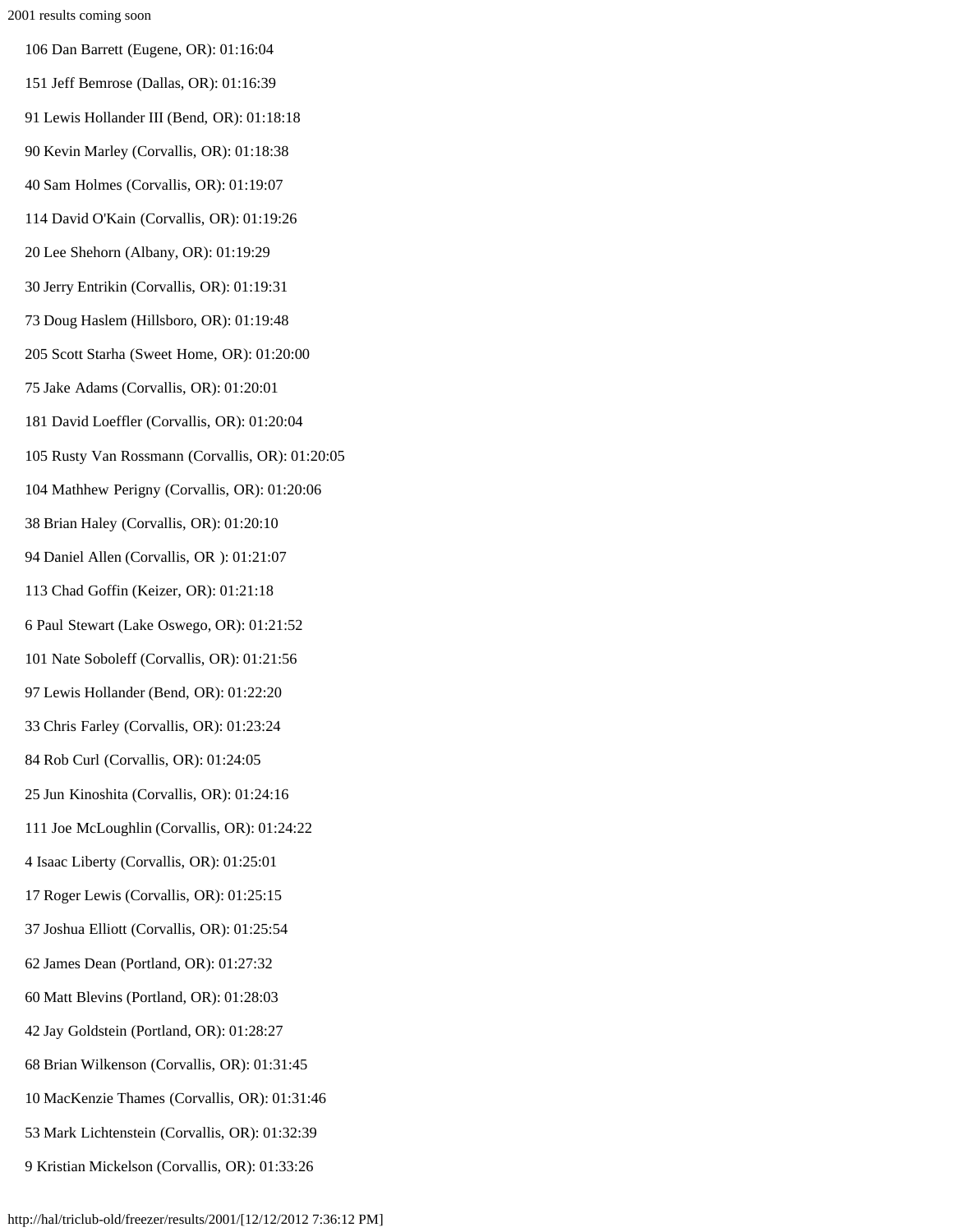- 106 Dan Barrett (Eugene, OR): 01:16:04 151 Jeff Bemrose (Dallas, OR): 01:16:39 91 Lewis Hollander III (Bend, OR): 01:18:18 90 Kevin Marley (Corvallis, OR): 01:18:38 40 Sam Holmes (Corvallis, OR): 01:19:07 114 David O'Kain (Corvallis, OR): 01:19:26 20 Lee Shehorn (Albany, OR): 01:19:29 30 Jerry Entrikin (Corvallis, OR): 01:19:31 73 Doug Haslem (Hillsboro, OR): 01:19:48 205 Scott Starha (Sweet Home, OR): 01:20:00 75 Jake Adams (Corvallis, OR): 01:20:01 181 David Loeffler (Corvallis, OR): 01:20:04 105 Rusty Van Rossmann (Corvallis, OR): 01:20:05 104 Mathhew Perigny (Corvallis, OR): 01:20:06 38 Brian Haley (Corvallis, OR): 01:20:10 94 Daniel Allen (Corvallis, OR ): 01:21:07 113 Chad Goffin (Keizer, OR): 01:21:18 6 Paul Stewart (Lake Oswego, OR): 01:21:52 101 Nate Soboleff (Corvallis, OR): 01:21:56 97 Lewis Hollander (Bend, OR): 01:22:20 33 Chris Farley (Corvallis, OR): 01:23:24 84 Rob Curl (Corvallis, OR): 01:24:05 25 Jun Kinoshita (Corvallis, OR): 01:24:16 111 Joe McLoughlin (Corvallis, OR): 01:24:22 4 Isaac Liberty (Corvallis, OR): 01:25:01 17 Roger Lewis (Corvallis, OR): 01:25:15 37 Joshua Elliott (Corvallis, OR): 01:25:54 62 James Dean (Portland, OR): 01:27:32 60 Matt Blevins (Portland, OR): 01:28:03 42 Jay Goldstein (Portland, OR): 01:28:27 68 Brian Wilkenson (Corvallis, OR): 01:31:45 10 MacKenzie Thames (Corvallis, OR): 01:31:46
- 53 Mark Lichtenstein (Corvallis, OR): 01:32:39
- 9 Kristian Mickelson (Corvallis, OR): 01:33:26